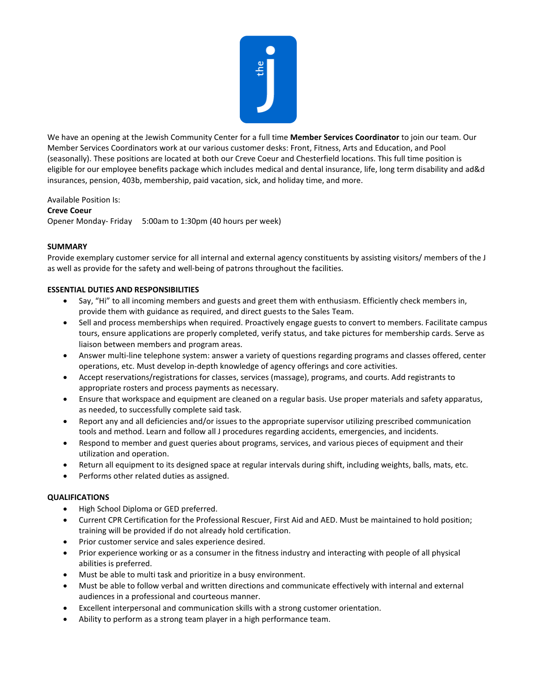

We have an opening at the Jewish Community Center for a full time **Member Services Coordinator** to join our team. Our Member Services Coordinators work at our various customer desks: Front, Fitness, Arts and Education, and Pool (seasonally). These positions are located at both our Creve Coeur and Chesterfield locations. This full time position is eligible for our employee benefits package which includes medical and dental insurance, life, long term disability and ad&d insurances, pension, 403b, membership, paid vacation, sick, and holiday time, and more.

Available Position Is: **Creve Coeur** Opener Monday- Friday 5:00am to 1:30pm (40 hours per week)

## **SUMMARY**

Provide exemplary customer service for all internal and external agency constituents by assisting visitors/ members of the J as well as provide for the safety and well-being of patrons throughout the facilities.

## **ESSENTIAL DUTIES AND RESPONSIBILITIES**

- Say, "Hi" to all incoming members and guests and greet them with enthusiasm. Efficiently check members in, provide them with guidance as required, and direct guests to the Sales Team.
- Sell and process memberships when required. Proactively engage guests to convert to members. Facilitate campus tours, ensure applications are properly completed, verify status, and take pictures for membership cards. Serve as liaison between members and program areas.
- Answer multi-line telephone system: answer a variety of questions regarding programs and classes offered, center operations, etc. Must develop in-depth knowledge of agency offerings and core activities.
- Accept reservations/registrations for classes, services (massage), programs, and courts. Add registrants to appropriate rosters and process payments as necessary.
- Ensure that workspace and equipment are cleaned on a regular basis. Use proper materials and safety apparatus, as needed, to successfully complete said task.
- Report any and all deficiencies and/or issues to the appropriate supervisor utilizing prescribed communication tools and method. Learn and follow all J procedures regarding accidents, emergencies, and incidents.
- Respond to member and guest queries about programs, services, and various pieces of equipment and their utilization and operation.
- Return all equipment to its designed space at regular intervals during shift, including weights, balls, mats, etc.
- Performs other related duties as assigned.

## **QUALIFICATIONS**

- High School Diploma or GED preferred.
- Current CPR Certification for the Professional Rescuer, First Aid and AED. Must be maintained to hold position; training will be provided if do not already hold certification.
- Prior customer service and sales experience desired.
- Prior experience working or as a consumer in the fitness industry and interacting with people of all physical abilities is preferred.
- Must be able to multi task and prioritize in a busy environment.
- Must be able to follow verbal and written directions and communicate effectively with internal and external audiences in a professional and courteous manner.
- Excellent interpersonal and communication skills with a strong customer orientation.
- Ability to perform as a strong team player in a high performance team.